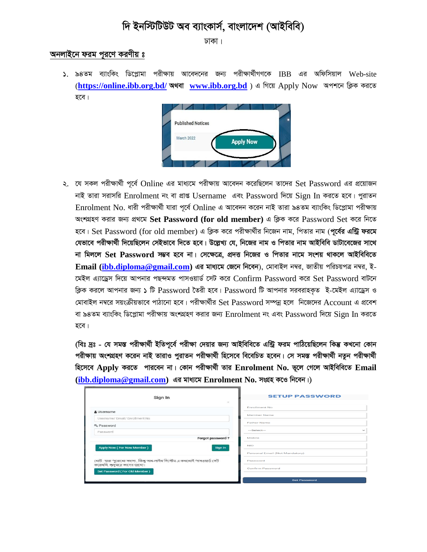## *দি* ইনস্টিটিউট অব ব্যাংকাৰ্স, বাংলাদেশ (আইবিবি)

*XvKv|*

## *A*apiza *Papa Haco*i *Tapanas*

*1. 94Zg e¨vswKs wW‡cøvgv cixÿvq Av‡e`‡bi Rb¨ cixÿv\_©xMY‡K* IBB *Gi Awdwmqvj* Web-site (**<https://online.ibb.org.bd/> অথবা [www.ibb.org.bd](http://www.ibb.org.bd/)**) এ গিয়ে Apply Now *অপশ*নে ক্লিক করতে হবে |



২. *যে সকল পরীক্ষার্থী পূর্বে Online এর মাধ্যমে পরীক্ষায় আবেদন করেছিলেন তাদের Set Password এর প্রয়োজন দাই তারা সরাসরি Enrolment নং বা প্রাপ্ত Username এবং Password দিয়ে Sign In করতে হবে। পুরাতন*  $Enrolment No.$  ধারী পরীক্ষার্থী যারা পর্বে Online এ আবেদন করেন নাই তারা ৯৪তম ব্যাংকিং ডিপ্লোমা পরীক্ষায় অংশগ্রহণ করার জন্য প্রথমে Set Password (for old member) এ ক্লিক করে Password Set করে নিতে হবে। Set Password (for old member) এ ক্লিক করে পরীক্ষার্থীর নিজেন নাম, পিতার নাম (পূ**র্বের এন্ট্রি ফরমে** *যে*ভাবে পরীক্ষার্থী দিয়েছিলেন সেইভাবে দিতে হবে। উল্লেখ্য যে, নিজের নাম ও পিতার নাম আইবিবি ডাটাবেজের সাথে *bv wgj‡j* **Set Password** *m¤¢e n‡e bv| †m‡ÿ‡Î, cÖ`Ë wb‡Ri I wcZvi bv‡g mskq \_vK‡j AvBwewe‡Z*  **Email [\(ibb.diploma@gmail.com\)](mailto:ibb.diploma@gmail.com)** *Gi gva¨‡g †R‡b wb‡eb), †gvevBj b¤^i, RvZxq cwiPqcÎ b¤^i, B- ‡gBj G¨v‡Wªm w`‡q Avcbvi cQ›`gZ cvmIqvW© ‡mU K‡i* Confirm Password *K‡i* Set Password *evU‡b ক্লি*ক করলে আপনার জন্য ১ টি  $Password$  তৈরী হবে।  $Password$  টি আপনার সরবরাহকৃত ই-মেইল এ্যাড্রেস ও *(*মাবাইল নম্বরে সয়ংক্রীয়ভাবে পাঠানো হবে। পরীক্ষার্থীর Set Password সম্পন্ন হলে নিজেদের Account এ প্রবেশ *বা ৯৪তম ব্যাংকিং ডিপ্লোমা পরীক্ষায় অংশ*গ্রহণ করার জন্য Enrolment নং এবং Password দিয়ে Sign In করতে হবে।

*(*বিঃ দ্রঃ - যে সমস্ত পরীক্ষার্থী ইতিপূর্বে পরীক্ষা দেয়ার জন্য আইবিবিতে এন্ট্রি ফরম পাঠিয়েছিলেন কিম্ভ কখনো কোন পরীক্ষায় অংশগ্রহণ করেন নাই তারাও পুরাতন পরীক্ষার্থী হিসেবে বিবেচিত হবেন। সে সমস্ত পরীক্ষার্থী নতুন পরীক্ষার্থী *হিসেবে Apply করতে পারবেন না*। কোন পরীক্ষার্থী তার Enrolment No. ভূলে গেলে আইবিবিতে Email *[\(ibb.diploma@gmail.com\)](mailto:ibb.diploma@gmail.com)* এর মাধ্যমে Enrolment No. সংগ্রহ কণ্ডে নিবেন।)

| Sign In<br>$\infty$                                                                                      | <b>SETUP PASSWORD</b>                      |
|----------------------------------------------------------------------------------------------------------|--------------------------------------------|
| & Username                                                                                               | <b>Enrollment No</b>                       |
| Username/ Email/ Enrollment No                                                                           | Member Name                                |
| Q. Password                                                                                              | <b>Father Name</b>                         |
| Password                                                                                                 | $-$ Select $-$<br>$\overline{\phantom{a}}$ |
| Forgot password?                                                                                         | Mobile                                     |
| Apply Now (For New Member)<br>Sign in                                                                    | <b>NID</b>                                 |
|                                                                                                          | Personal Email (Not Mandatory)             |
| নোট: যারা পুরোনো সদস্য , কিন্তু অন-লাইন সিস্টেম এ কখনোই পাসওয়ার্ড সেট<br>করেননি, শুধুমাত্র তাদের জন্যে। | Password                                   |
| Set Password (For Old Member)                                                                            | <b>Confirm Password</b>                    |
|                                                                                                          | <b>Set Password</b>                        |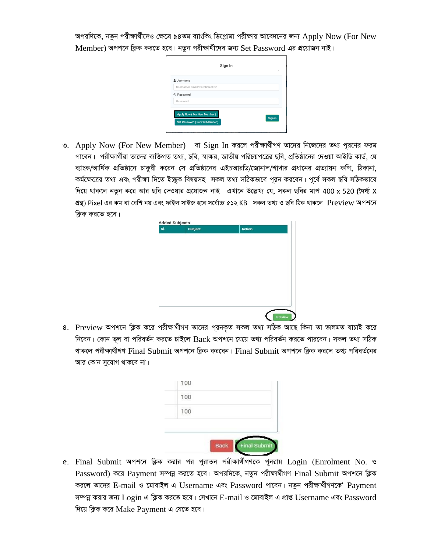অপরদিকে, নতুন পরীক্ষার্থীদেও ক্ষেত্রে ৯৪তম ব্যাংকিং ডিপ্লোমা পরীক্ষায় আবেদনের জন্য Apply Now (For New Member) অপশনে ক্লিক করতে হবে। নতুন পরীক্ষার্থীদের জন্য Set Password এর প্রয়োজন নাই।

| & Username                     |  |
|--------------------------------|--|
| Username/ Email/ Enrollment No |  |
| Q <sub>e</sub> Password        |  |
| Password                       |  |
| Apply Now (For New Member)     |  |

৩. Apply Now (For New Member) বা Sign In করলে পরীক্ষার্থীগণ তাদের নিজেদের তথ্য পূরণের ফরম পাবেন। পরীক্ষার্থীরা তাদের ব্যক্তিগত তথ্য, ছবি, স্বাক্ষর, জাতীয় পরিচয়পত্রের ছবি, প্রতিষ্ঠানের দেওয়া আইডি কার্ড, যে ব্যাংক/আর্থিক প্রতিষ্ঠানে চাকুরী করেন সে প্রতিষ্ঠানের এইচআরডি/জোনাল/শাখার প্রধানের প্রত্যায়ন কপি, ঠিকানা, কর্মক্ষেত্রের তথ্য এবং পরীক্ষা দিতে ইচ্ছুক বিষয়সহ সকল তথ্য সঠিকভাবে পূরন করবেন। পূর্বে সকল ছবি সঠিকভাবে দিয়ে থাকলে নতুন করে আর ছবি দেওয়ার প্রয়োজন নাই। এখানে উল্লেখ্য যে, সকল ছবির মাপ 400 x 520 (দৈর্ঘ্য X প্ৰস্থ) Pixel এর কম বা বেশি নয় এবং ফাইল সাইজ হবে সর্বোচ্চ ৫১২ KB। সকল তথ্য ও ছবি ঠিক থাকলে Preview অপশনে ক্লিক করতে হবে।

| SI. | Subject | Action |  |
|-----|---------|--------|--|
|     |         |        |  |
|     |         |        |  |
|     |         |        |  |
|     |         |        |  |
|     |         |        |  |
|     |         |        |  |
|     |         |        |  |
|     |         |        |  |
|     |         |        |  |
|     |         |        |  |
|     |         |        |  |
|     |         |        |  |
|     |         |        |  |
|     |         |        |  |
|     |         |        |  |

৪. Preview অপশনে ক্লিক করে পরীক্ষার্থীগণ তাদের পূরনকৃত সকল তথ্য সঠিক আছে কিনা তা ভালমত যাচাই করে নিবেন। কোন ভূল বা পরিবর্তন করতে চাইলে Back অপশনে যেয়ে তথ্য পরিবর্তন করতে পারবেন। সকল তথ্য সঠিক থাকলে পরীক্ষার্থীগণ Final Submit অপশনে ক্লিক করবেন। Final Submit অপশনে ক্লিক করলে তথ্য পরিবর্তনের আর কোন সুযোগ থাকবে না।

| 100 |  |
|-----|--|
| 100 |  |
|     |  |
|     |  |

৫. Final Submit অপশনে ক্লিক করার পর পুরাতন পরীক্ষার্থীগণকে পূনরায় Login (Enrolment No. ও Password) করে Payment সম্পন্ন করতে হবে। অপরদিকে, নতুন পরীক্ষার্থীগণ Final Submit অপশনে ক্লিক করলে তাদের E-mail ও মোবাইল এ Username এবং Password পাবেন। নতুন পরীক্ষার্থীগণকে Payment সম্পন্ন করার জন্য  $Login$  এ ক্লিক করতে হবে। সেখানে  $E$ -mail ও মোবাইল এ প্রাপ্ত  $Username$  এবং  $Password$ দিয়ে ক্লিক করে Make Payment এ যেতে হবে।